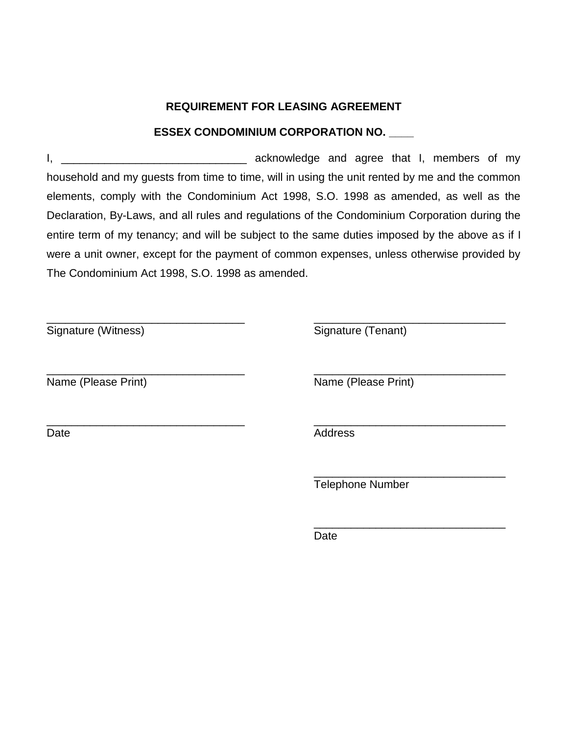# **REQUIREMENT FOR LEASING AGREEMENT**

# **ESSEX CONDOMINIUM CORPORATION NO. \_\_\_\_**

I, \_\_\_\_\_\_\_\_\_\_\_\_\_\_\_\_\_\_\_\_\_\_\_\_\_\_\_\_\_\_ acknowledge and agree that I, members of my household and my guests from time to time, will in using the unit rented by me and the common elements, comply with the Condominium Act 1998, S.O. 1998 as amended, as well as the Declaration, By-Laws, and all rules and regulations of the Condominium Corporation during the entire term of my tenancy; and will be subject to the same duties imposed by the above as if I were a unit owner, except for the payment of common expenses, unless otherwise provided by The Condominium Act 1998, S.O. 1998 as amended.

\_\_\_\_\_\_\_\_\_\_\_\_\_\_\_\_\_\_\_\_\_\_\_\_\_\_\_\_\_\_\_\_ \_\_\_\_\_\_\_\_\_\_\_\_\_\_\_\_\_\_\_\_\_\_\_\_\_\_\_\_\_\_\_

\_\_\_\_\_\_\_\_\_\_\_\_\_\_\_\_\_\_\_\_\_\_\_\_\_\_\_\_\_\_\_\_ \_\_\_\_\_\_\_\_\_\_\_\_\_\_\_\_\_\_\_\_\_\_\_\_\_\_\_\_\_\_\_

Signature (Witness) Signature (Tenant)

\_\_\_\_\_\_\_\_\_\_\_\_\_\_\_\_\_\_\_\_\_\_\_\_\_\_\_\_\_\_\_\_ \_\_\_\_\_\_\_\_\_\_\_\_\_\_\_\_\_\_\_\_\_\_\_\_\_\_\_\_\_\_\_ Name (Please Print) Name (Please Print)

Date Address

Telephone Number

\_\_\_\_\_\_\_\_\_\_\_\_\_\_\_\_\_\_\_\_\_\_\_\_\_\_\_\_\_\_\_

\_\_\_\_\_\_\_\_\_\_\_\_\_\_\_\_\_\_\_\_\_\_\_\_\_\_\_\_\_\_\_

Date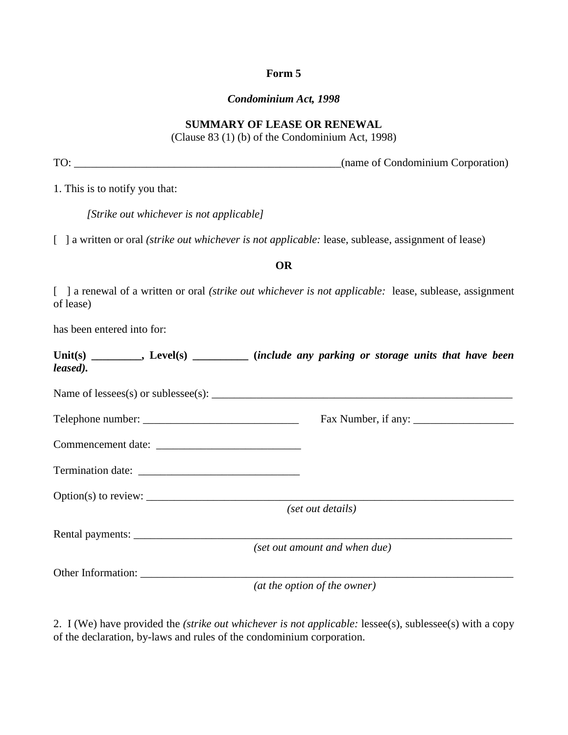### **Form 5**

#### *Condominium Act, 1998*

### **SUMMARY OF LEASE OR RENEWAL**

(Clause 83 (1) (b) of the Condominium Act, 1998)

TO: \_\_\_\_\_\_\_\_\_\_\_\_\_\_\_\_\_\_\_\_\_\_\_\_\_\_\_\_\_\_\_\_\_\_\_\_\_\_\_\_\_\_\_\_\_\_\_\_(name of Condominium Corporation)

1. This is to notify you that:

| [Strike out whichever is not applicable] |  |  |  |  |
|------------------------------------------|--|--|--|--|
|                                          |  |  |  |  |

[ ] a written or oral *(strike out whichever is not applicable: lease, sublease, assignment of lease)* 

#### **OR**

[ ] a renewal of a written or oral *(strike out whichever is not applicable:* lease, sublease, assignment of lease)

has been entered into for:

| leased). | Unit(s) _________, Level(s) ___________ (include any parking or storage units that have been |                               |  |  |
|----------|----------------------------------------------------------------------------------------------|-------------------------------|--|--|
|          |                                                                                              |                               |  |  |
|          |                                                                                              |                               |  |  |
|          |                                                                                              |                               |  |  |
|          |                                                                                              |                               |  |  |
|          |                                                                                              |                               |  |  |
|          |                                                                                              | (set out details)             |  |  |
|          |                                                                                              |                               |  |  |
|          |                                                                                              | (set out amount and when due) |  |  |
|          | Other Information:                                                                           |                               |  |  |
|          |                                                                                              | (at the option of the owner)  |  |  |

2. I (We) have provided the *(strike out whichever is not applicable:* lessee(s), sublessee(s) with a copy of the declaration, by-laws and rules of the condominium corporation.